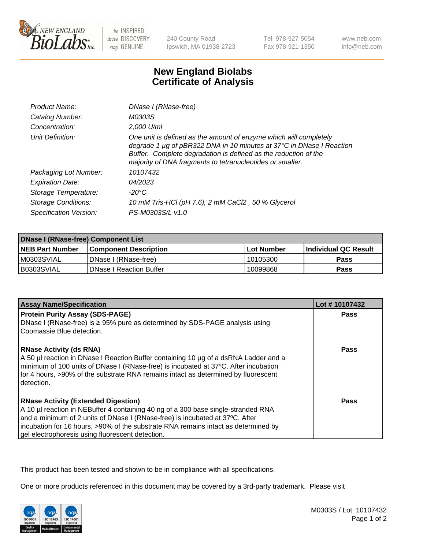

be INSPIRED drive DISCOVERY stay GENUINE

240 County Road Ipswich, MA 01938-2723 Tel 978-927-5054 Fax 978-921-1350

www.neb.com info@neb.com

## **New England Biolabs Certificate of Analysis**

| Product Name:              | DNase I (RNase-free)                                                                                                                                                                                                                                                      |
|----------------------------|---------------------------------------------------------------------------------------------------------------------------------------------------------------------------------------------------------------------------------------------------------------------------|
| Catalog Number:            | M0303S                                                                                                                                                                                                                                                                    |
| Concentration:             | 2,000 U/ml                                                                                                                                                                                                                                                                |
| Unit Definition:           | One unit is defined as the amount of enzyme which will completely<br>degrade 1 µg of pBR322 DNA in 10 minutes at 37°C in DNase I Reaction<br>Buffer. Complete degradation is defined as the reduction of the<br>majority of DNA fragments to tetranucleotides or smaller. |
| Packaging Lot Number:      | 10107432                                                                                                                                                                                                                                                                  |
| <b>Expiration Date:</b>    | 04/2023                                                                                                                                                                                                                                                                   |
| Storage Temperature:       | -20°C                                                                                                                                                                                                                                                                     |
| <b>Storage Conditions:</b> | 10 mM Tris-HCl (pH 7.6), 2 mM CaCl2, 50 % Glycerol                                                                                                                                                                                                                        |
| Specification Version:     | PS-M0303S/L v1.0                                                                                                                                                                                                                                                          |

| <b>DNase I (RNase-free) Component List</b> |                                |            |                             |  |
|--------------------------------------------|--------------------------------|------------|-----------------------------|--|
| <b>NEB Part Number</b>                     | <b>Component Description</b>   | Lot Number | <b>Individual QC Result</b> |  |
| M0303SVIAL                                 | DNase I (RNase-free)           | 10105300   | <b>Pass</b>                 |  |
| I B0303SVIAL                               | <b>DNase I Reaction Buffer</b> | 10099868   | <b>Pass</b>                 |  |

| <b>Assay Name/Specification</b>                                                                                                                                                                                                                                                                                                                           | Lot #10107432 |
|-----------------------------------------------------------------------------------------------------------------------------------------------------------------------------------------------------------------------------------------------------------------------------------------------------------------------------------------------------------|---------------|
| <b>Protein Purity Assay (SDS-PAGE)</b>                                                                                                                                                                                                                                                                                                                    | Pass          |
| DNase I (RNase-free) is $\geq 95\%$ pure as determined by SDS-PAGE analysis using<br>Coomassie Blue detection.                                                                                                                                                                                                                                            |               |
| <b>RNase Activity (ds RNA)</b><br>A 50 µl reaction in DNase I Reaction Buffer containing 10 µg of a dsRNA Ladder and a<br>minimum of 100 units of DNase I (RNase-free) is incubated at 37°C. After incubation<br>for 4 hours, >90% of the substrate RNA remains intact as determined by fluorescent<br>detection.                                         | <b>Pass</b>   |
| <b>RNase Activity (Extended Digestion)</b><br>A 10 µl reaction in NEBuffer 4 containing 40 ng of a 300 base single-stranded RNA<br>and a minimum of 2 units of DNase I (RNase-free) is incubated at 37°C. After<br>incubation for 16 hours, >90% of the substrate RNA remains intact as determined by<br>gel electrophoresis using fluorescent detection. | Pass          |

This product has been tested and shown to be in compliance with all specifications.

One or more products referenced in this document may be covered by a 3rd-party trademark. Please visit